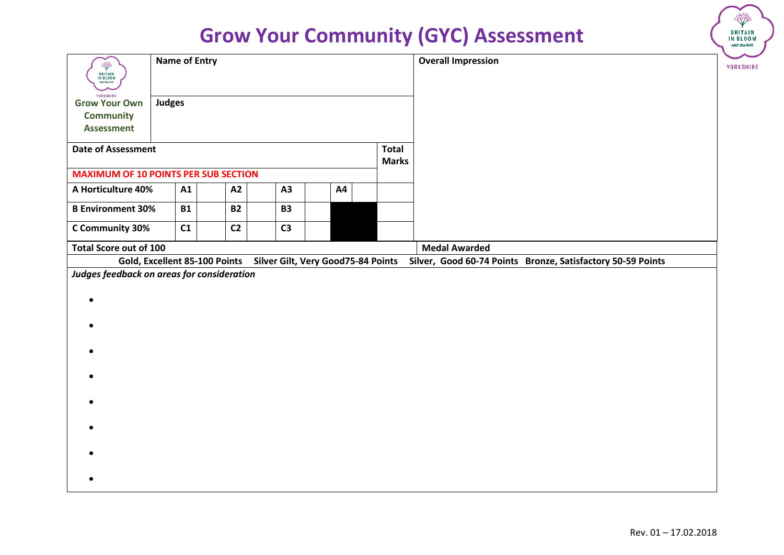| ÷<br><b>BRITAIN</b><br>IN BLOOM<br>with the RHS | <b>Name of Entry</b> |           |                               |                |                                    |                              | <b>Overall Impression</b>                                   | YORKSHIRE |
|-------------------------------------------------|----------------------|-----------|-------------------------------|----------------|------------------------------------|------------------------------|-------------------------------------------------------------|-----------|
| YORKSHIRE<br><b>Grow Your Own</b>               | <b>Judges</b>        |           |                               |                |                                    |                              |                                                             |           |
| <b>Community</b>                                |                      |           |                               |                |                                    |                              |                                                             |           |
| <b>Assessment</b>                               |                      |           |                               |                |                                    |                              |                                                             |           |
| <b>Date of Assessment</b>                       |                      |           |                               |                |                                    | <b>Total</b><br><b>Marks</b> |                                                             |           |
| <b>MAXIMUM OF 10 POINTS PER SUB SECTION</b>     |                      |           |                               |                |                                    |                              |                                                             |           |
| A Horticulture 40%                              |                      | A1        | <b>A2</b>                     | A3             | <b>A4</b>                          |                              |                                                             |           |
| <b>B Environment 30%</b>                        |                      | <b>B1</b> | <b>B2</b>                     | <b>B3</b>      |                                    |                              |                                                             |           |
| C Community 30%                                 |                      | C1        | C <sub>2</sub>                | C <sub>3</sub> |                                    |                              |                                                             |           |
| <b>Total Score out of 100</b>                   |                      |           |                               |                |                                    |                              | <b>Medal Awarded</b>                                        |           |
|                                                 |                      |           | Gold, Excellent 85-100 Points |                | Silver Gilt, Very Good75-84 Points |                              | Silver, Good 60-74 Points Bronze, Satisfactory 50-59 Points |           |
| Judges feedback on areas for consideration      |                      |           |                               |                |                                    |                              |                                                             |           |
|                                                 |                      |           |                               |                |                                    |                              |                                                             |           |
|                                                 |                      |           |                               |                |                                    |                              |                                                             |           |
|                                                 |                      |           |                               |                |                                    |                              |                                                             |           |
|                                                 |                      |           |                               |                |                                    |                              |                                                             |           |
|                                                 |                      |           |                               |                |                                    |                              |                                                             |           |
|                                                 |                      |           |                               |                |                                    |                              |                                                             |           |
|                                                 |                      |           |                               |                |                                    |                              |                                                             |           |
|                                                 |                      |           |                               |                |                                    |                              |                                                             |           |
|                                                 |                      |           |                               |                |                                    |                              |                                                             |           |
|                                                 |                      |           |                               |                |                                    |                              |                                                             |           |
|                                                 |                      |           |                               |                |                                    |                              |                                                             |           |
|                                                 |                      |           |                               |                |                                    |                              |                                                             |           |
|                                                 |                      |           |                               |                |                                    |                              |                                                             |           |
|                                                 |                      |           |                               |                |                                    |                              |                                                             |           |

BRITAIN<br>IN BLOOM<br>with the RHS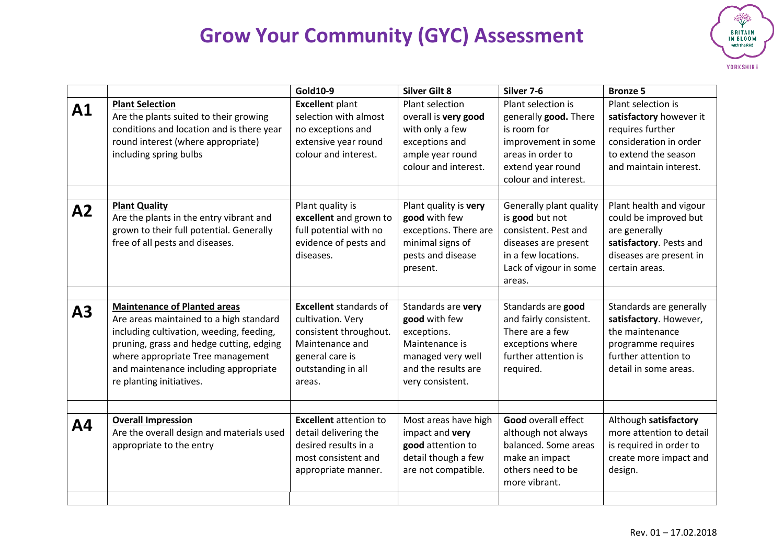

|    |                                                                                                                                                                                                                                                                                  | Gold10-9                                                                                                                                           | <b>Silver Gilt 8</b>                                                                                                                 | Silver 7-6                                                                                                                                            | <b>Bronze 5</b>                                                                                                                               |
|----|----------------------------------------------------------------------------------------------------------------------------------------------------------------------------------------------------------------------------------------------------------------------------------|----------------------------------------------------------------------------------------------------------------------------------------------------|--------------------------------------------------------------------------------------------------------------------------------------|-------------------------------------------------------------------------------------------------------------------------------------------------------|-----------------------------------------------------------------------------------------------------------------------------------------------|
| A1 | <b>Plant Selection</b><br>Are the plants suited to their growing<br>conditions and location and is there year<br>round interest (where appropriate)<br>including spring bulbs                                                                                                    | <b>Excellent plant</b><br>selection with almost<br>no exceptions and<br>extensive year round<br>colour and interest.                               | Plant selection<br>overall is very good<br>with only a few<br>exceptions and<br>ample year round<br>colour and interest.             | Plant selection is<br>generally good. There<br>is room for<br>improvement in some<br>areas in order to<br>extend year round<br>colour and interest.   | Plant selection is<br>satisfactory however it<br>requires further<br>consideration in order<br>to extend the season<br>and maintain interest. |
| A2 | <b>Plant Quality</b><br>Are the plants in the entry vibrant and<br>grown to their full potential. Generally<br>free of all pests and diseases.                                                                                                                                   | Plant quality is<br>excellent and grown to<br>full potential with no<br>evidence of pests and<br>diseases.                                         | Plant quality is very<br>good with few<br>exceptions. There are<br>minimal signs of<br>pests and disease<br>present.                 | Generally plant quality<br>is good but not<br>consistent. Pest and<br>diseases are present<br>in a few locations.<br>Lack of vigour in some<br>areas. | Plant health and vigour<br>could be improved but<br>are generally<br>satisfactory. Pests and<br>diseases are present in<br>certain areas.     |
| A3 | <b>Maintenance of Planted areas</b><br>Are areas maintained to a high standard<br>including cultivation, weeding, feeding,<br>pruning, grass and hedge cutting, edging<br>where appropriate Tree management<br>and maintenance including appropriate<br>re planting initiatives. | <b>Excellent</b> standards of<br>cultivation. Very<br>consistent throughout.<br>Maintenance and<br>general care is<br>outstanding in all<br>areas. | Standards are very<br>good with few<br>exceptions.<br>Maintenance is<br>managed very well<br>and the results are<br>very consistent. | Standards are good<br>and fairly consistent.<br>There are a few<br>exceptions where<br>further attention is<br>required.                              | Standards are generally<br>satisfactory. However,<br>the maintenance<br>programme requires<br>further attention to<br>detail in some areas.   |
| Α4 | <b>Overall Impression</b><br>Are the overall design and materials used<br>appropriate to the entry                                                                                                                                                                               | <b>Excellent</b> attention to<br>detail delivering the<br>desired results in a<br>most consistent and<br>appropriate manner.                       | Most areas have high<br>impact and very<br>good attention to<br>detail though a few<br>are not compatible.                           | Good overall effect<br>although not always<br>balanced. Some areas<br>make an impact<br>others need to be<br>more vibrant.                            | Although satisfactory<br>more attention to detail<br>is required in order to<br>create more impact and<br>design.                             |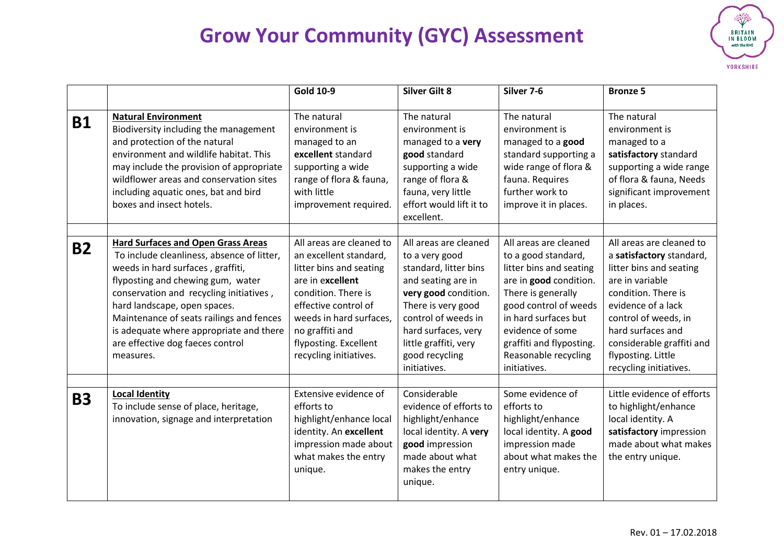

|           |                                                                                                                                                                                                                                                                                                                                                                                      | <b>Gold 10-9</b>                                                                                                                                                                                                                                  | <b>Silver Gilt 8</b>                                                                                                                                                                                                                          | Silver 7-6                                                                                                                                                                                                                                                       | <b>Bronze 5</b>                                                                                                                                                                                                                                                           |
|-----------|--------------------------------------------------------------------------------------------------------------------------------------------------------------------------------------------------------------------------------------------------------------------------------------------------------------------------------------------------------------------------------------|---------------------------------------------------------------------------------------------------------------------------------------------------------------------------------------------------------------------------------------------------|-----------------------------------------------------------------------------------------------------------------------------------------------------------------------------------------------------------------------------------------------|------------------------------------------------------------------------------------------------------------------------------------------------------------------------------------------------------------------------------------------------------------------|---------------------------------------------------------------------------------------------------------------------------------------------------------------------------------------------------------------------------------------------------------------------------|
| <b>B1</b> | <b>Natural Environment</b><br>Biodiversity including the management<br>and protection of the natural<br>environment and wildlife habitat. This<br>may include the provision of appropriate<br>wildflower areas and conservation sites<br>including aquatic ones, bat and bird<br>boxes and insect hotels.                                                                            | The natural<br>environment is<br>managed to an<br>excellent standard<br>supporting a wide<br>range of flora & fauna,<br>with little<br>improvement required.                                                                                      | The natural<br>environment is<br>managed to a very<br>good standard<br>supporting a wide<br>range of flora &<br>fauna, very little<br>effort would lift it to<br>excellent.                                                                   | The natural<br>environment is<br>managed to a good<br>standard supporting a<br>wide range of flora &<br>fauna. Requires<br>further work to<br>improve it in places.                                                                                              | The natural<br>environment is<br>managed to a<br>satisfactory standard<br>supporting a wide range<br>of flora & fauna, Needs<br>significant improvement<br>in places.                                                                                                     |
| <b>B2</b> | <b>Hard Surfaces and Open Grass Areas</b><br>To include cleanliness, absence of litter,<br>weeds in hard surfaces, graffiti,<br>flyposting and chewing gum, water<br>conservation and recycling initiatives,<br>hard landscape, open spaces.<br>Maintenance of seats railings and fences<br>is adequate where appropriate and there<br>are effective dog faeces control<br>measures. | All areas are cleaned to<br>an excellent standard,<br>litter bins and seating<br>are in excellent<br>condition. There is<br>effective control of<br>weeds in hard surfaces,<br>no graffiti and<br>flyposting. Excellent<br>recycling initiatives. | All areas are cleaned<br>to a very good<br>standard, litter bins<br>and seating are in<br>very good condition.<br>There is very good<br>control of weeds in<br>hard surfaces, very<br>little graffiti, very<br>good recycling<br>initiatives. | All areas are cleaned<br>to a good standard,<br>litter bins and seating<br>are in good condition.<br>There is generally<br>good control of weeds<br>in hard surfaces but<br>evidence of some<br>graffiti and flyposting.<br>Reasonable recycling<br>initiatives. | All areas are cleaned to<br>a satisfactory standard,<br>litter bins and seating<br>are in variable<br>condition. There is<br>evidence of a lack<br>control of weeds, in<br>hard surfaces and<br>considerable graffiti and<br>flyposting. Little<br>recycling initiatives. |
| <b>B3</b> | <b>Local Identity</b><br>To include sense of place, heritage,<br>innovation, signage and interpretation                                                                                                                                                                                                                                                                              | Extensive evidence of<br>efforts to<br>highlight/enhance local<br>identity. An excellent<br>impression made about<br>what makes the entry<br>unique.                                                                                              | Considerable<br>evidence of efforts to<br>highlight/enhance<br>local identity. A very<br>good impression<br>made about what<br>makes the entry<br>unique.                                                                                     | Some evidence of<br>efforts to<br>highlight/enhance<br>local identity. A good<br>impression made<br>about what makes the<br>entry unique.                                                                                                                        | Little evidence of efforts<br>to highlight/enhance<br>local identity. A<br>satisfactory impression<br>made about what makes<br>the entry unique.                                                                                                                          |